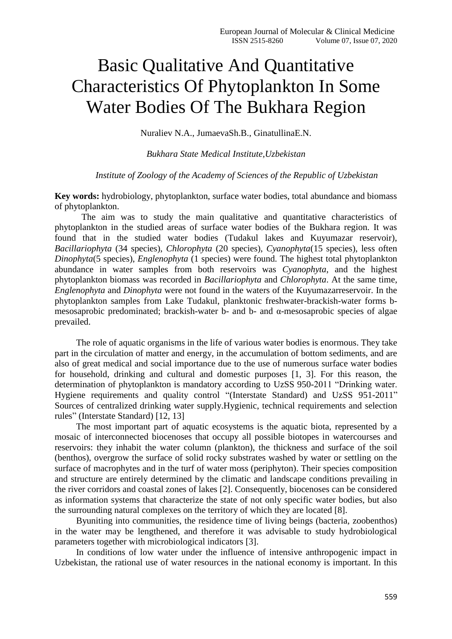# Basic Qualitative And Quantitative Characteristics Of Phytoplankton In Some Water Bodies Of The Bukhara Region

Nuraliev N.A., JumaevaSh.B., GinatullinaE.N.

*Bukhara State Medical Institute,Uzbekistan*

### *Institute of Zoology of the Academy of Sciences of the Republic of Uzbekistan*

**Key words:** hydrobiology, phytoplankton, surface water bodies, total abundance and biomass of phytoplankton.

The aim was to study the main qualitative and quantitative characteristics of phytoplankton in the studied areas of surface water bodies of the Bukhara region. It was found that in the studied water bodies (Tudakul lakes and Kuyumazar reservoir), *Bacillariophyta* (34 species), *Chlorophyta* (20 species), *Cyanophyta*(15 species), less often *Dinophyta*(5 species), *Englenophyta* (1 species) were found. The highest total phytoplankton abundance in water samples from both reservoirs was *Cyanophyta*, and the highest phytoplankton biomass was recorded in *Bacillariophyta* and *Chlorophyta*. At the same time, *Englenophyta* and *Dinophyta* were not found in the waters of the Kuyumazarreservoir. In the phytoplankton samples from Lake Tudakul, planktonic freshwater-brackish-water forms bmesosaprobic predominated; brackish-water b- and b- and  $\alpha$ -mesosaprobic species of algae prevailed.

The role of aquatic organisms in the life of various water bodies is enormous. They take part in the circulation of matter and energy, in the accumulation of bottom sediments, and are also of great medical and social importance due to the use of numerous surface water bodies for household, drinking and cultural and domestic purposes [1, 3]. For this reason, the determination of phytoplankton is mandatory according to UzSS 950-2011 "Drinking water. Hygiene requirements and quality control "(Interstate Standard) and UzSS 951-2011" Sources of centralized drinking water supply.Hygienic, technical requirements and selection rules" (Interstate Standard) [12, 13]

The most important part of aquatic ecosystems is the aquatic biota, represented by a mosaic of interconnected biocenoses that occupy all possible biotopes in watercourses and reservoirs: they inhabit the water column (plankton), the thickness and surface of the soil (benthos), overgrow the surface of solid rocky substrates washed by water or settling on the surface of macrophytes and in the turf of water moss (periphyton). Their species composition and structure are entirely determined by the climatic and landscape conditions prevailing in the river corridors and coastal zones of lakes [2]. Consequently, biocenoses can be considered as information systems that characterize the state of not only specific water bodies, but also the surrounding natural complexes on the territory of which they are located [8].

Byuniting into communities, the residence time of living beings (bacteria, zoobenthos) in the water may be lengthened, and therefore it was advisable to study hydrobiological parameters together with microbiological indicators [3].

In conditions of low water under the influence of intensive anthropogenic impact in Uzbekistan, the rational use of water resources in the national economy is important. In this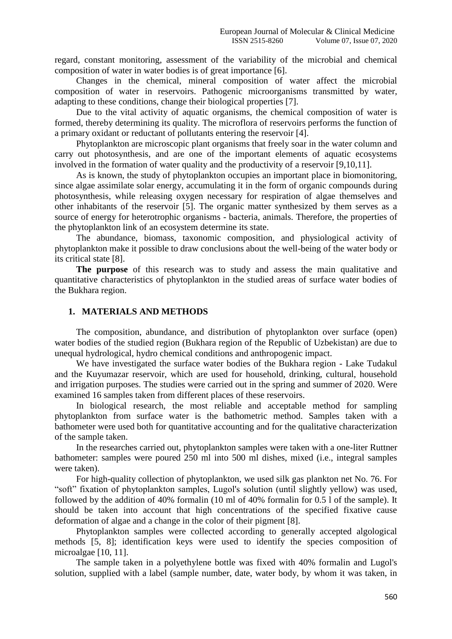regard, constant monitoring, assessment of the variability of the microbial and chemical composition of water in water bodies is of great importance [6].

Changes in the chemical, mineral composition of water affect the microbial composition of water in reservoirs. Pathogenic microorganisms transmitted by water, adapting to these conditions, change their biological properties [7].

Due to the vital activity of aquatic organisms, the chemical composition of water is formed, thereby determining its quality. The microflora of reservoirs performs the function of a primary oxidant or reductant of pollutants entering the reservoir [4].

Phytoplankton are microscopic plant organisms that freely soar in the water column and carry out photosynthesis, and are one of the important elements of aquatic ecosystems involved in the formation of water quality and the productivity of a reservoir [9,10,11].

As is known, the study of phytoplankton occupies an important place in biomonitoring, since algae assimilate solar energy, accumulating it in the form of organic compounds during photosynthesis, while releasing oxygen necessary for respiration of algae themselves and other inhabitants of the reservoir [5]. The organic matter synthesized by them serves as a source of energy for heterotrophic organisms - bacteria, animals. Therefore, the properties of the phytoplankton link of an ecosystem determine its state.

The abundance, biomass, taxonomic composition, and physiological activity of phytoplankton make it possible to draw conclusions about the well-being of the water body or its critical state [8].

**The purpose** of this research was to study and assess the main qualitative and quantitative characteristics of phytoplankton in the studied areas of surface water bodies of the Bukhara region.

# **1. MATERIALS AND METHODS**

The composition, abundance, and distribution of phytoplankton over surface (open) water bodies of the studied region (Bukhara region of the Republic of Uzbekistan) are due to unequal hydrological, hydro chemical conditions and anthropogenic impact.

We have investigated the surface water bodies of the Bukhara region - Lake Tudakul and the Kuyumazar reservoir, which are used for household, drinking, cultural, household and irrigation purposes. The studies were carried out in the spring and summer of 2020. Were examined 16 samples taken from different places of these reservoirs.

In biological research, the most reliable and acceptable method for sampling phytoplankton from surface water is the bathometric method. Samples taken with a bathometer were used both for quantitative accounting and for the qualitative characterization of the sample taken.

In the researches carried out, phytoplankton samples were taken with a one-liter Ruttner bathometer: samples were poured 250 ml into 500 ml dishes, mixed (i.e., integral samples were taken).

For high-quality collection of phytoplankton, we used silk gas plankton net No. 76. For "soft" fixation of phytoplankton samples, Lugol's solution (until slightly yellow) was used, followed by the addition of 40% formalin (10 ml of 40% formalin for 0.5 l of the sample). It should be taken into account that high concentrations of the specified fixative cause deformation of algae and a change in the color of their pigment [8].

Phytoplankton samples were collected according to generally accepted algological methods [5, 8]; identification keys were used to identify the species composition of microalgae [10, 11].

The sample taken in a polyethylene bottle was fixed with 40% formalin and Lugol's solution, supplied with a label (sample number, date, water body, by whom it was taken, in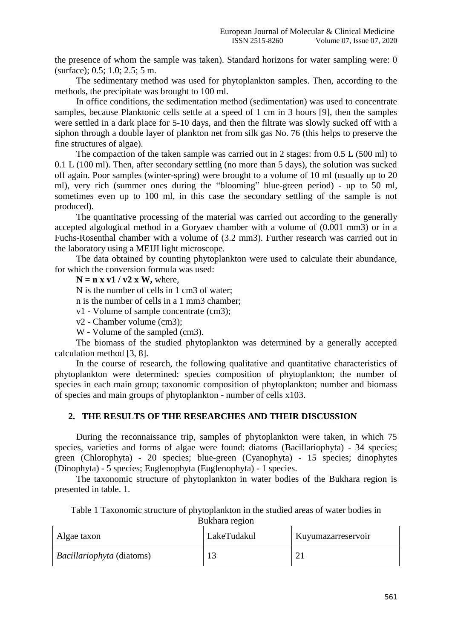the presence of whom the sample was taken). Standard horizons for water sampling were: 0 (surface); 0.5; 1.0; 2.5; 5 m.

The sedimentary method was used for phytoplankton samples. Then, according to the methods, the precipitate was brought to 100 ml.

In office conditions, the sedimentation method (sedimentation) was used to concentrate samples, because Planktonic cells settle at a speed of 1 cm in 3 hours [9], then the samples were settled in a dark place for 5-10 days, and then the filtrate was slowly sucked off with a siphon through a double layer of plankton net from silk gas No. 76 (this helps to preserve the fine structures of algae).

The compaction of the taken sample was carried out in 2 stages: from 0.5 L (500 ml) to 0.1 L (100 ml). Then, after secondary settling (no more than 5 days), the solution was sucked off again. Poor samples (winter-spring) were brought to a volume of 10 ml (usually up to 20 ml), very rich (summer ones during the "blooming" blue-green period) - up to 50 ml, sometimes even up to 100 ml, in this case the secondary settling of the sample is not produced).

The quantitative processing of the material was carried out according to the generally accepted algological method in a Goryaev chamber with a volume of (0.001 mm3) or in a Fuchs-Rosenthal chamber with a volume of (3.2 mm3). Further research was carried out in the laboratory using a MEIJI light microscope.

The data obtained by counting phytoplankton were used to calculate their abundance, for which the conversion formula was used:

 $N = n x v1 / v2 x W$ , where,

N is the number of cells in 1 cm3 of water;

n is the number of cells in a 1 mm3 chamber;

v1 - Volume of sample concentrate (cm3);

v2 - Chamber volume (cm3);

W - Volume of the sampled (cm3).

The biomass of the studied phytoplankton was determined by a generally accepted calculation method [3, 8].

In the course of research, the following qualitative and quantitative characteristics of phytoplankton were determined: species composition of phytoplankton; the number of species in each main group; taxonomic composition of phytoplankton; number and biomass of species and main groups of phytoplankton - number of cells x103.

### **2. THE RESULTS OF THE RESEARCHES AND THEIR DISCUSSION**

During the reconnaissance trip, samples of phytoplankton were taken, in which 75 species, varieties and forms of algae were found: diatoms (Bacillariophyta) - 34 species; green (Chlorophyta) - 20 species; blue-green (Cyanophyta) - 15 species; dinophytes (Dinophyta) - 5 species; Euglenophyta (Euglenophyta) - 1 species.

The taxonomic structure of phytoplankton in water bodies of the Bukhara region is presented in table. 1.

Table 1 Taxonomic structure of phytoplankton in the studied areas of water bodies in Bukhara region

| Algae taxon               | LakeTudakul | Kuyumazarreservoir |
|---------------------------|-------------|--------------------|
| Bacillariophyta (diatoms) |             |                    |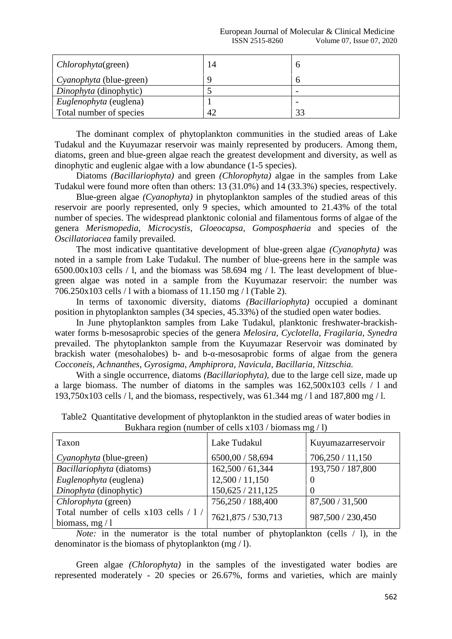#### European Journal of Molecular & Clinical Medicine ISSN 2515-8260 Volume 07, Issue 07, 2020

| <i>Chlorophyta</i> (green)                        | 14 | $\theta$                                             |
|---------------------------------------------------|----|------------------------------------------------------|
| Cyanophyta (blue-green)<br>Dinophyta (dinophytic) |    | $\theta$                                             |
| Euglenophyta (euglena)                            |    | $\overline{\phantom{a}}$<br>$\overline{\phantom{0}}$ |
| Total number of species                           | 42 | 33                                                   |

The dominant complex of phytoplankton communities in the studied areas of Lake Tudakul and the Kuyumazar reservoir was mainly represented by producers. Among them, diatoms, green and blue-green algae reach the greatest development and diversity, as well as dinophytic and euglenic algae with a low abundance (1-5 species).

Diatoms *(Bacillariophyta)* and green *(Chlorophyta)* algae in the samples from Lake Tudakul were found more often than others: 13 (31.0%) and 14 (33.3%) species, respectively.

Blue-green algae *(Cyanophyta)* in phytoplankton samples of the studied areas of this reservoir are poorly represented, only 9 species, which amounted to 21.43% of the total number of species. The widespread planktonic colonial and filamentous forms of algae of the genera *Merismopedia, Microcystis, Gloeocapsa, Gomposphaeria* and species of the *Oscillatoriacea* family prevailed.

The most indicative quantitative development of blue-green algae *(Cyanophyta)* was noted in a sample from Lake Tudakul. The number of blue-greens here in the sample was 6500.00x103 cells / l, and the biomass was 58.694 mg / l. The least development of bluegreen algae was noted in a sample from the Kuyumazar reservoir: the number was 706.250x103 cells / l with a biomass of 11.150 mg / l (Table 2).

In terms of taxonomic diversity, diatoms *(Bacillariophyta)* occupied a dominant position in phytoplankton samples (34 species, 45.33%) of the studied open water bodies.

In June phytoplankton samples from Lake Tudakul, planktonic freshwater-brackishwater forms b-mesosaprobic species of the genera *Melosira, Cyclotella, Fragilaria, Synedra* prevailed. The phytoplankton sample from the Kuyumazar Reservoir was dominated by brackish water (mesohalobes) b- and b-α-mesosaprobic forms of algae from the genera *Cocconeis, Achnanthes, Gyrosigma, Amphiprora, Navicula, Bacillaria, Nitzschia.*

With a single occurrence, diatoms *(Bacillariophyta),* due to the large cell size, made up a large biomass. The number of diatoms in the samples was 162,500x103 cells / l and 193,750x103 cells / l, and the biomass, respectively, was 61.344 mg / l and 187,800 mg / l.

| Taxon                                                     | Lake Tudakul       | Kuyumazarreservoir |  |  |
|-----------------------------------------------------------|--------------------|--------------------|--|--|
| Cyanophyta (blue-green)                                   | 6500,00 / 58,694   | 706,250/11,150     |  |  |
| Bacillariophyta (diatoms)                                 | 162,500 / 61,344   | 193,750 / 187,800  |  |  |
| Euglenophyta (euglena)                                    | 12,500 / 11,150    | $\Omega$           |  |  |
| Dinophyta (dinophytic)                                    | 150,625 / 211,125  | 0                  |  |  |
| Chlorophyta (green)                                       | 756,250 / 188,400  | 87,500 / 31,500    |  |  |
| Total number of cells x103 cells / 1 /<br>biomass, $mg/1$ | 7621,875 / 530,713 | 987,500 / 230,450  |  |  |

Table2 Quantitative development of phytoplankton in the studied areas of water bodies in Bukhara region (number of cells  $x103 / \text{biomass}$  mg / l)

*Note:* in the numerator is the total number of phytoplankton (cells / l), in the denominator is the biomass of phytoplankton (mg / l).

Green algae *(Chlorophyta)* in the samples of the investigated water bodies are represented moderately - 20 species or 26.67%, forms and varieties, which are mainly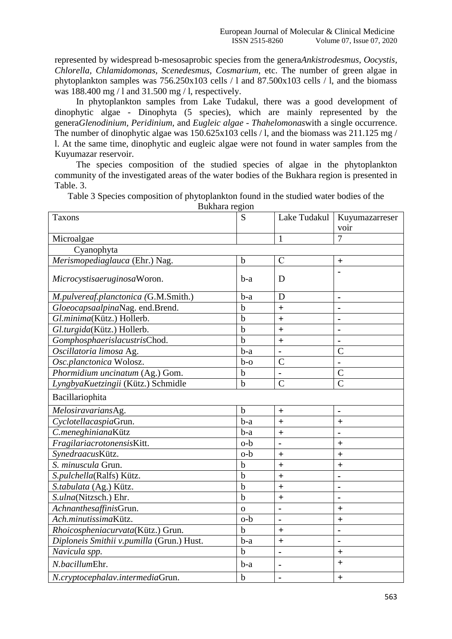represented by widespread b-mesosaprobic species from the genera*Ankistrodesmus, Oocystis, Chlorella, Chlamidomonas, Scenedesmus, Cosmarium,* etc. The number of green algae in phytoplankton samples was 756.250x103 cells / l and 87.500x103 cells / l, and the biomass was 188.400 mg / l and 31.500 mg / l, respectively.

In phytoplankton samples from Lake Tudakul, there was a good development of dinophytic algae - Dinophyta (5 species), which are mainly represented by the genera*Glenodinium, Peridinium,* and *Eugleic algae - Thahelomonas*with a single occurrence. The number of dinophytic algae was 150.625x103 cells / l, and the biomass was 211.125 mg / l. At the same time, dinophytic and eugleic algae were not found in water samples from the Kuyumazar reservoir.

The species composition of the studied species of algae in the phytoplankton community of the investigated areas of the water bodies of the Bukhara region is presented in Table. 3.

Table 3 Species composition of phytoplankton found in the studied water bodies of the

Bukhara region Taxons S Lake Tudakul Kuyumazarreser voir Microalgae 1 7 Cyanophyta *Merismopediaglauca* (Ehr.) Nag.  $\begin{array}{c|c} \hline \text{for} & \text{if } \text{c} \\ \hline \end{array}$ *Microcystisaeruginosa* Woron. b-a p **-** *M.pulvereaf.planctonica (*G.M.Smith.) b-a D **-**  $G\omega_0$  *capsaalpina*Nag. end.Brend.  $\begin{vmatrix} b & 1 \\ 0 & 1 \end{vmatrix}$  + *Gl.minima*(Kütz.) Hollerb. b **+ -** *Gl.turgida*(Kütz.) Hollerb. b **+ -** *Gomphosphaerislacustris*Chod. b **+ -** *Oscillatoria limosa* Ag. b-a **-** C *Osc.planctonica* Wolosz. b-o C -*Phormidium uncinatum* (Ag.) Gom. b **-** C *LyngbyaKuetzingii* (Kütz.) Schmidle b C C Bacillariophita *Melosiravarians*Ag. b **+ -** *Cyclotellacaspia*Grun. b-a **+ +** *C.meneghiniana*Kütz b-a **+ -** *Fragilariacrotonensis*Kitt.  $\begin{vmatrix} 0-b \end{vmatrix}$  **-**  $\begin{vmatrix} + & 1 \end{vmatrix}$ *Synedraacus*Kütz. o-b **+ +** *S. minuscula* Grun.  $\vert \cdot \vert$  +  $\vert$  + *S.pulchella*(Ralfs) Kütz. b  $\vert$  **b**  $\vert$  **+**  $\vert$  **-***S.tabulata* (Ag.) Kütz. b **+ -**  $S. u \cdot \text{ln}(N \cdot \text{ln}(S))$  Ehr. **b**  $+$  **-**  $\cdot$ *Achnanthesaffinis*Grun. o **- +** *Ach.minutissima*Kütz. o-b **- +** *Rhoicospheniacurvata*(Kütz.) Grun. b **+ -** *Diploneis Smithii v.pumilla* (Grun.) Hust.  $\begin{vmatrix} b-a \end{vmatrix} + \begin{vmatrix} a & b-a \end{vmatrix} +$ *Navicula spp.* b **- +** *N.bacillum*Ehr. b-a **- +** *N.cryptocephalav.intermedia*Grun. b  $\vert$  **+**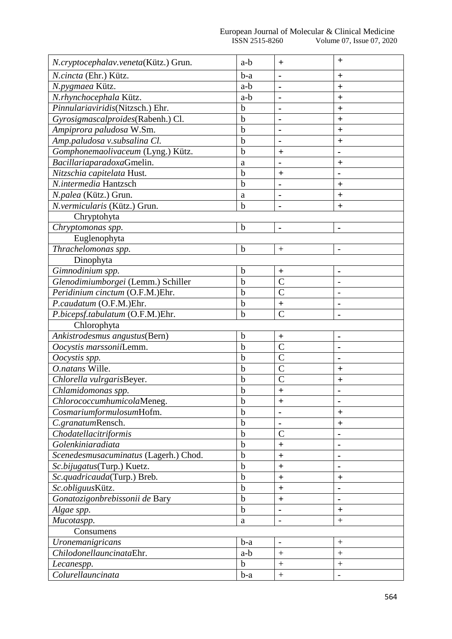| N.cryptocephalav.veneta(Kütz.) Grun.  | a-b         | $\pm$                    | $\ddot{}$                |
|---------------------------------------|-------------|--------------------------|--------------------------|
| N.cincta (Ehr.) Kütz.                 | $b-a$       |                          | $+$                      |
| N.pygmaea Kütz.                       | a-b         |                          | $\ddot{}$                |
| N.rhynchocephala Kütz.                | a-b         | $\blacksquare$           | $+$                      |
| Pinnulariaviridis(Nitzsch.) Ehr.      | $\mathbf b$ |                          | $\ddag$                  |
| Gyrosigmascalproides(Rabenh.) Cl.     | $\mathbf b$ | $\blacksquare$           | $\ddot{}$                |
| Ampiprora paludosa W.Sm.              | $\mathbf b$ | $\blacksquare$           | $\ddot{}$                |
| Amp.paludosa v.subsalina Cl.          | $\mathbf b$ |                          | $+$                      |
| Gomphonemaolivaceum (Lyng.) Kütz.     | $\mathbf b$ | $\bm{+}$                 |                          |
| BacillariaparadoxaGmelin.             | a           |                          | $\bm{+}$                 |
| Nitzschia capitelata Hust.            | $\mathbf b$ | $+$                      |                          |
| N.intermedia Hantzsch                 | $\mathbf b$ |                          | $\pm$                    |
| N.palea (Kütz.) Grun.                 | a           |                          | $\pm$                    |
| N.vermicularis (Kütz.) Grun.          | $\mathbf b$ |                          | $+$                      |
| Chryptohyta                           |             |                          |                          |
| Chryptomonas spp.                     | $\mathbf b$ | $\blacksquare$           |                          |
| Euglenophyta                          |             |                          |                          |
| Thrachelomonas spp.                   | $\mathbf b$ | $+$                      | $\overline{\phantom{a}}$ |
| Dinophyta                             |             |                          |                          |
| Gimnodinium spp.                      | $\mathbf b$ | $\ddot{}$                | $\blacksquare$           |
| Glenodimiumborgei (Lemm.) Schiller    | $\mathbf b$ | $\overline{C}$           |                          |
| Peridinium cinctum (O.F.M.)Ehr.       | $\mathbf b$ | $\overline{C}$           |                          |
| P.caudatum (O.F.M.)Ehr.               | $\mathbf b$ | $\ddag$                  |                          |
| P.bicepsf.tabulatum (O.F.M.)Ehr.      | $\mathbf b$ | $\overline{C}$           |                          |
| Chlorophyta                           |             |                          |                          |
| Ankistrodesmus angustus(Bern)         | $\mathbf b$ | $\ddot{}$                |                          |
| Oocystis marssoniiLemm.               | $\mathbf b$ | $\mathcal{C}$            |                          |
| Oocystis spp.                         | $\mathbf b$ | $\overline{C}$           |                          |
| O.natans Wille.                       | $\mathbf b$ | $\overline{C}$           | $+$                      |
| Chlorella vulrgarisBeyer.             | $\mathbf b$ | $\overline{C}$           | $\ddot{}$                |
| Chlamidomonas spp.                    | $\mathbf b$ | $\ddag$                  |                          |
| ChlorococcumhumicolaMeneg.            | $\mathbf b$ | $\ddot{}$                |                          |
| CosmariumformulosumHofm.              | $\mathbf b$ |                          | $+$                      |
| C.granatumRensch.                     | $\mathbf b$ |                          | $\ddot{}$                |
| Chodatellacitriformis                 | $\mathbf b$ | $\mathcal{C}$            |                          |
| Golenkiniaradiata                     | $\mathbf b$ | $\ddagger$               |                          |
| Scenedesmusacuminatus (Lagerh.) Chod. | $\mathbf b$ | $\ddot{}$                |                          |
| Sc.bijugatus(Turp.) Kuetz.            | b           | $+$                      |                          |
| Sc.quadricauda(Turp.) Breb.           | $\mathbf b$ | $\ddot{}$                | $\pm$                    |
| Sc.obliguusKütz.                      | $\mathbf b$ | $\ddag$                  |                          |
| Gonatozigonbrebissonii de Bary        | $\mathbf b$ | $\ddot{}$                |                          |
| Algae spp.                            | $\mathbf b$ |                          | $\ddot{}$                |
| Mucotaspp.                            | a           | $\overline{\phantom{a}}$ |                          |
| Consumens                             |             |                          |                          |
| Uronemanigricans                      | $b-a$       | $\overline{\phantom{a}}$ | $\qquad \qquad +$        |
| ChilodonellauncinataEhr.              | a-b         | $\boldsymbol{+}$         | $\ddot{}$                |
| Lecanespp.                            | $\mathbf b$ | $^{+}$                   |                          |
| Colurellauncinata                     | b-a         | $^{+}$                   |                          |
|                                       |             |                          |                          |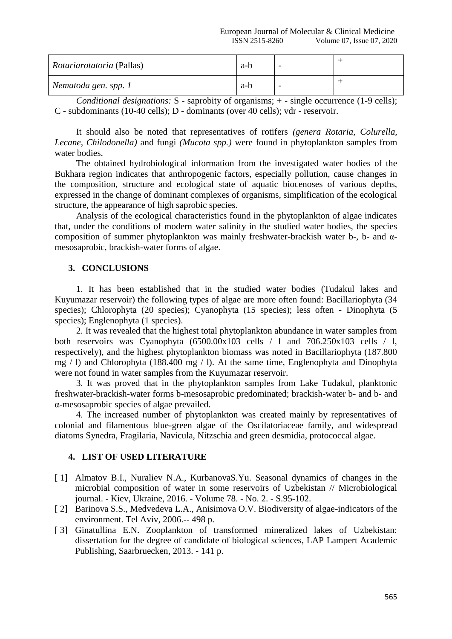| <i>Rotariarotatoria</i> (Pallas) | a-b | - |  |
|----------------------------------|-----|---|--|
| Nematoda gen. spp. 1             | a-b | - |  |

*Conditional designations:* S - saprobity of organisms; + - single occurrence (1-9 cells); C - subdominants (10-40 cells); D - dominants (over 40 cells); vdr - reservoir.

It should also be noted that representatives of rotifers *(genera Rotaria, Colurella, Lecane, Chilodonella)* and fungi *(Mucota spp.)* were found in phytoplankton samples from water bodies.

The obtained hydrobiological information from the investigated water bodies of the Bukhara region indicates that anthropogenic factors, especially pollution, cause changes in the composition, structure and ecological state of aquatic biocenoses of various depths, expressed in the change of dominant complexes of organisms, simplification of the ecological structure, the appearance of high saprobic species.

Analysis of the ecological characteristics found in the phytoplankton of algae indicates that, under the conditions of modern water salinity in the studied water bodies, the species composition of summer phytoplankton was mainly freshwater-brackish water b-, b- and αmesosaprobic, brackish-water forms of algae.

## **3. CONCLUSIONS**

1. It has been established that in the studied water bodies (Tudakul lakes and Kuyumazar reservoir) the following types of algae are more often found: Bacillariophyta (34 species); Chlorophyta (20 species); Cyanophyta (15 species); less often - Dinophyta (5 species); Englenophyta (1 species).

2. It was revealed that the highest total phytoplankton abundance in water samples from both reservoirs was Cyanophyta  $(6500.00x103$  cells  $/ 1$  and  $706.250x103$  cells  $/ 1$ , respectively), and the highest phytoplankton biomass was noted in Bacillariophyta (187.800 mg / l) and Chlorophyta (188.400 mg / l). At the same time, Englenophyta and Dinophyta were not found in water samples from the Kuyumazar reservoir.

3. It was proved that in the phytoplankton samples from Lake Tudakul, planktonic freshwater-brackish-water forms b-mesosaprobic predominated; brackish-water b- and b- and α-mesosaprobic species of algae prevailed.

4. The increased number of phytoplankton was created mainly by representatives of colonial and filamentous blue-green algae of the Oscilatoriaceae family, and widespread diatoms Synedra, Fragilaria, Navicula, Nitzschia and green desmidia, protococcal algae.

# **4. LIST OF USED LITERATURE**

- [ 1] Almatov B.I., Nuraliev N.A., KurbanovaS.Yu. Seasonal dynamics of changes in the microbial composition of water in some reservoirs of Uzbekistan // Microbiological journal. - Kiev, Ukraine, 2016. - Volume 78. - No. 2. - S.95-102.
- [ 2] Barinova S.S., Medvedeva L.A., Anisimova O.V. Biodiversity of algae-indicators of the environment. Tel Aviv, 2006.-- 498 p.
- [ 3] Ginatullina E.N. Zooplankton of transformed mineralized lakes of Uzbekistan: dissertation for the degree of candidate of biological sciences, LAP Lampert Academic Publishing, Saarbruecken, 2013. - 141 p.